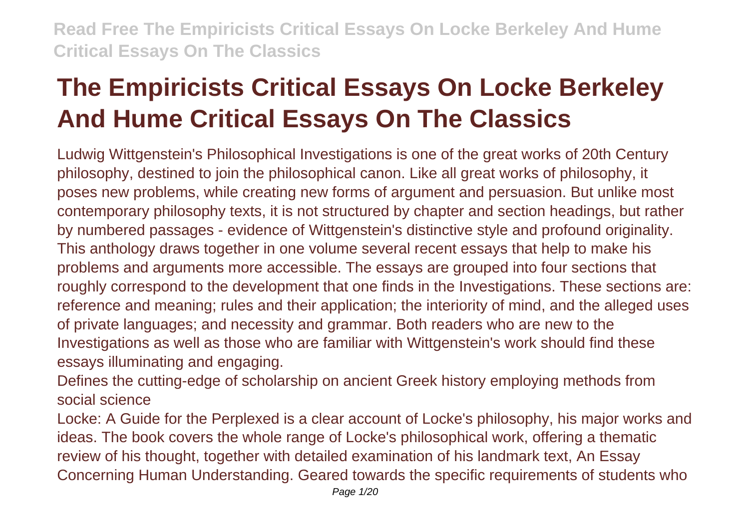# **The Empiricists Critical Essays On Locke Berkeley And Hume Critical Essays On The Classics**

Ludwig Wittgenstein's Philosophical Investigations is one of the great works of 20th Century philosophy, destined to join the philosophical canon. Like all great works of philosophy, it poses new problems, while creating new forms of argument and persuasion. But unlike most contemporary philosophy texts, it is not structured by chapter and section headings, but rather by numbered passages - evidence of Wittgenstein's distinctive style and profound originality. This anthology draws together in one volume several recent essays that help to make his problems and arguments more accessible. The essays are grouped into four sections that roughly correspond to the development that one finds in the Investigations. These sections are: reference and meaning; rules and their application; the interiority of mind, and the alleged uses of private languages; and necessity and grammar. Both readers who are new to the Investigations as well as those who are familiar with Wittgenstein's work should find these essays illuminating and engaging.

Defines the cutting-edge of scholarship on ancient Greek history employing methods from social science

Locke: A Guide for the Perplexed is a clear account of Locke's philosophy, his major works and ideas. The book covers the whole range of Locke's philosophical work, offering a thematic review of his thought, together with detailed examination of his landmark text, An Essay Concerning Human Understanding. Geared towards the specific requirements of students who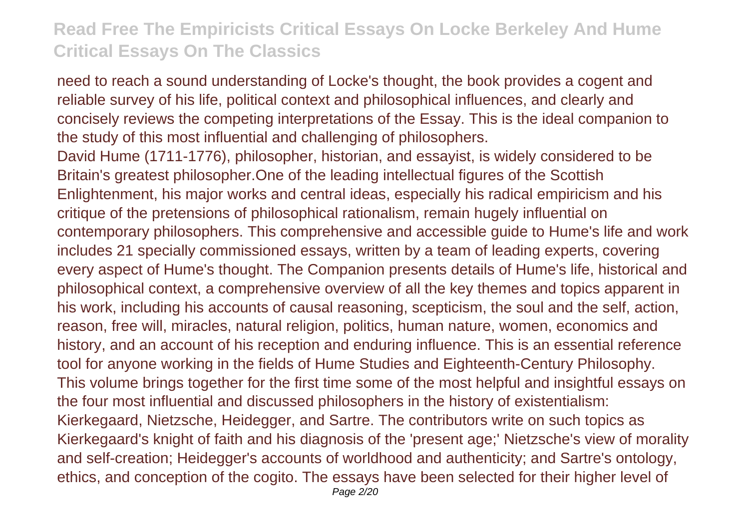need to reach a sound understanding of Locke's thought, the book provides a cogent and reliable survey of his life, political context and philosophical influences, and clearly and concisely reviews the competing interpretations of the Essay. This is the ideal companion to the study of this most influential and challenging of philosophers. David Hume (1711-1776), philosopher, historian, and essayist, is widely considered to be Britain's greatest philosopher.One of the leading intellectual figures of the Scottish Enlightenment, his major works and central ideas, especially his radical empiricism and his critique of the pretensions of philosophical rationalism, remain hugely influential on contemporary philosophers. This comprehensive and accessible guide to Hume's life and work includes 21 specially commissioned essays, written by a team of leading experts, covering every aspect of Hume's thought. The Companion presents details of Hume's life, historical and philosophical context, a comprehensive overview of all the key themes and topics apparent in his work, including his accounts of causal reasoning, scepticism, the soul and the self, action, reason, free will, miracles, natural religion, politics, human nature, women, economics and history, and an account of his reception and enduring influence. This is an essential reference tool for anyone working in the fields of Hume Studies and Eighteenth-Century Philosophy. This volume brings together for the first time some of the most helpful and insightful essays on the four most influential and discussed philosophers in the history of existentialism: Kierkegaard, Nietzsche, Heidegger, and Sartre. The contributors write on such topics as Kierkegaard's knight of faith and his diagnosis of the 'present age;' Nietzsche's view of morality and self-creation; Heidegger's accounts of worldhood and authenticity; and Sartre's ontology, ethics, and conception of the cogito. The essays have been selected for their higher level of Page 2/20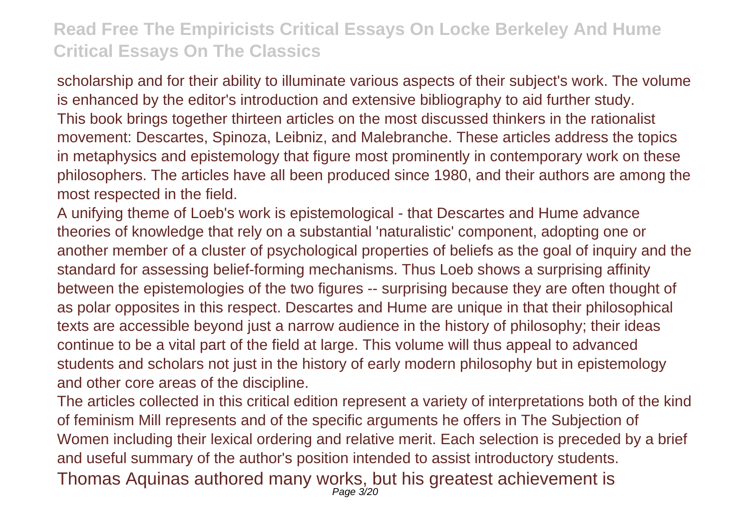scholarship and for their ability to illuminate various aspects of their subject's work. The volume is enhanced by the editor's introduction and extensive bibliography to aid further study. This book brings together thirteen articles on the most discussed thinkers in the rationalist movement: Descartes, Spinoza, Leibniz, and Malebranche. These articles address the topics in metaphysics and epistemology that figure most prominently in contemporary work on these philosophers. The articles have all been produced since 1980, and their authors are among the most respected in the field.

A unifying theme of Loeb's work is epistemological - that Descartes and Hume advance theories of knowledge that rely on a substantial 'naturalistic' component, adopting one or another member of a cluster of psychological properties of beliefs as the goal of inquiry and the standard for assessing belief-forming mechanisms. Thus Loeb shows a surprising affinity between the epistemologies of the two figures -- surprising because they are often thought of as polar opposites in this respect. Descartes and Hume are unique in that their philosophical texts are accessible beyond just a narrow audience in the history of philosophy; their ideas continue to be a vital part of the field at large. This volume will thus appeal to advanced students and scholars not just in the history of early modern philosophy but in epistemology and other core areas of the discipline.

The articles collected in this critical edition represent a variety of interpretations both of the kind of feminism Mill represents and of the specific arguments he offers in The Subjection of Women including their lexical ordering and relative merit. Each selection is preceded by a brief and useful summary of the author's position intended to assist introductory students. Thomas Aquinas authored many works, but his greatest achievement is Page 3/20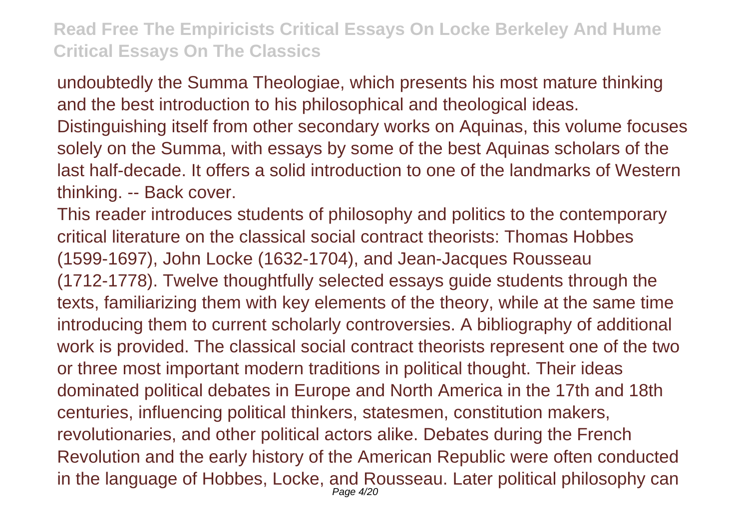undoubtedly the Summa Theologiae, which presents his most mature thinking and the best introduction to his philosophical and theological ideas. Distinguishing itself from other secondary works on Aquinas, this volume focuses solely on the Summa, with essays by some of the best Aquinas scholars of the last half-decade. It offers a solid introduction to one of the landmarks of Western thinking. -- Back cover.

This reader introduces students of philosophy and politics to the contemporary critical literature on the classical social contract theorists: Thomas Hobbes (1599-1697), John Locke (1632-1704), and Jean-Jacques Rousseau (1712-1778). Twelve thoughtfully selected essays guide students through the texts, familiarizing them with key elements of the theory, while at the same time introducing them to current scholarly controversies. A bibliography of additional work is provided. The classical social contract theorists represent one of the two or three most important modern traditions in political thought. Their ideas dominated political debates in Europe and North America in the 17th and 18th centuries, influencing political thinkers, statesmen, constitution makers, revolutionaries, and other political actors alike. Debates during the French Revolution and the early history of the American Republic were often conducted in the language of Hobbes, Locke, and Rousseau. Later political philosophy can Page 4/20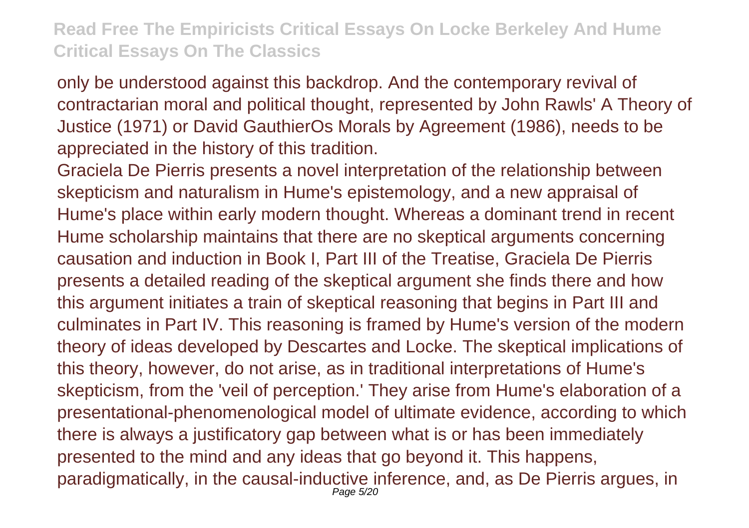only be understood against this backdrop. And the contemporary revival of contractarian moral and political thought, represented by John Rawls' A Theory of Justice (1971) or David GauthierOs Morals by Agreement (1986), needs to be appreciated in the history of this tradition.

Graciela De Pierris presents a novel interpretation of the relationship between skepticism and naturalism in Hume's epistemology, and a new appraisal of Hume's place within early modern thought. Whereas a dominant trend in recent Hume scholarship maintains that there are no skeptical arguments concerning causation and induction in Book I, Part III of the Treatise, Graciela De Pierris presents a detailed reading of the skeptical argument she finds there and how this argument initiates a train of skeptical reasoning that begins in Part III and culminates in Part IV. This reasoning is framed by Hume's version of the modern theory of ideas developed by Descartes and Locke. The skeptical implications of this theory, however, do not arise, as in traditional interpretations of Hume's skepticism, from the 'veil of perception.' They arise from Hume's elaboration of a presentational-phenomenological model of ultimate evidence, according to which there is always a justificatory gap between what is or has been immediately presented to the mind and any ideas that go beyond it. This happens, paradigmatically, in the causal-inductive inference, and, as De Pierris argues, in Page 5/20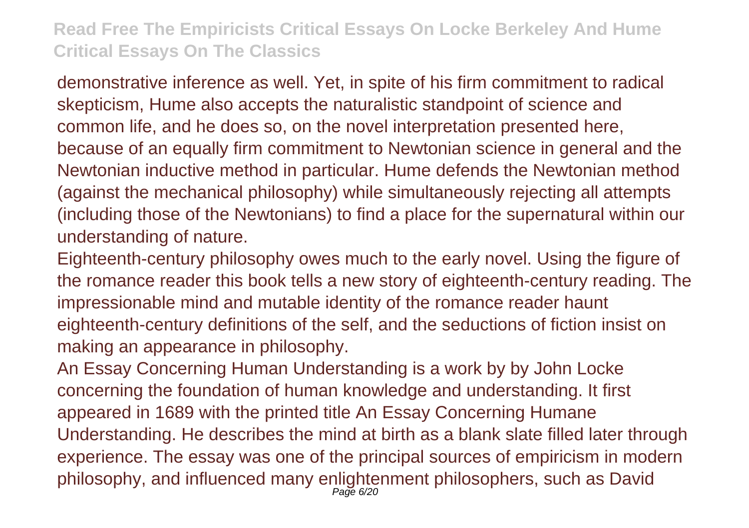demonstrative inference as well. Yet, in spite of his firm commitment to radical skepticism, Hume also accepts the naturalistic standpoint of science and common life, and he does so, on the novel interpretation presented here, because of an equally firm commitment to Newtonian science in general and the Newtonian inductive method in particular. Hume defends the Newtonian method (against the mechanical philosophy) while simultaneously rejecting all attempts (including those of the Newtonians) to find a place for the supernatural within our understanding of nature.

Eighteenth-century philosophy owes much to the early novel. Using the figure of the romance reader this book tells a new story of eighteenth-century reading. The impressionable mind and mutable identity of the romance reader haunt eighteenth-century definitions of the self, and the seductions of fiction insist on making an appearance in philosophy.

An Essay Concerning Human Understanding is a work by by John Locke concerning the foundation of human knowledge and understanding. It first appeared in 1689 with the printed title An Essay Concerning Humane Understanding. He describes the mind at birth as a blank slate filled later through experience. The essay was one of the principal sources of empiricism in modern philosophy, and influenced many enlightenment philosophers, such as David Page 6/20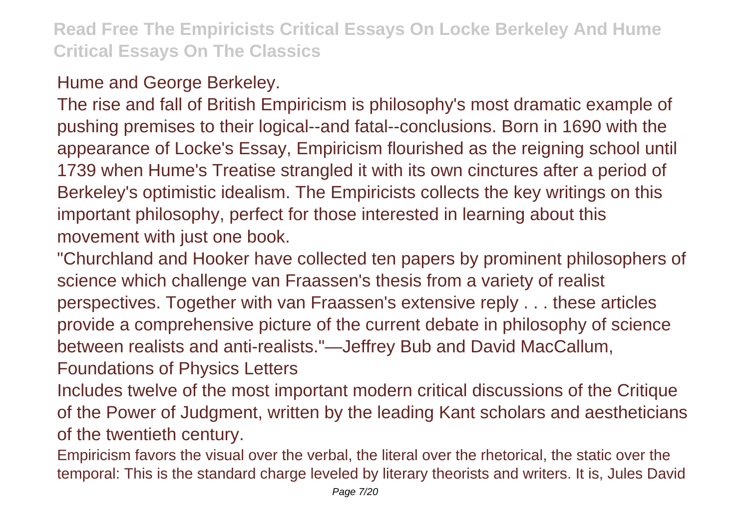### Hume and George Berkeley.

The rise and fall of British Empiricism is philosophy's most dramatic example of pushing premises to their logical--and fatal--conclusions. Born in 1690 with the appearance of Locke's Essay, Empiricism flourished as the reigning school until 1739 when Hume's Treatise strangled it with its own cinctures after a period of Berkeley's optimistic idealism. The Empiricists collects the key writings on this important philosophy, perfect for those interested in learning about this movement with just one book.

"Churchland and Hooker have collected ten papers by prominent philosophers of science which challenge van Fraassen's thesis from a variety of realist perspectives. Together with van Fraassen's extensive reply . . . these articles provide a comprehensive picture of the current debate in philosophy of science between realists and anti-realists."—Jeffrey Bub and David MacCallum,

Foundations of Physics Letters

Includes twelve of the most important modern critical discussions of the Critique of the Power of Judgment, written by the leading Kant scholars and aestheticians of the twentieth century.

Empiricism favors the visual over the verbal, the literal over the rhetorical, the static over the temporal: This is the standard charge leveled by literary theorists and writers. It is, Jules David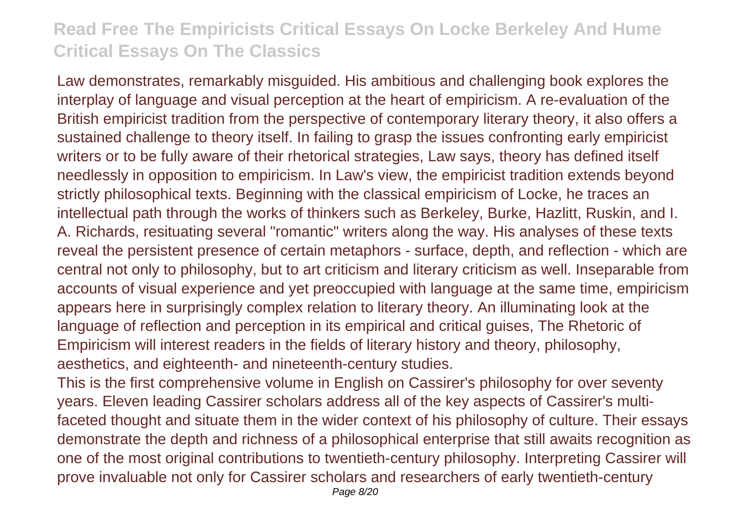Law demonstrates, remarkably misguided. His ambitious and challenging book explores the interplay of language and visual perception at the heart of empiricism. A re-evaluation of the British empiricist tradition from the perspective of contemporary literary theory, it also offers a sustained challenge to theory itself. In failing to grasp the issues confronting early empiricist writers or to be fully aware of their rhetorical strategies, Law says, theory has defined itself needlessly in opposition to empiricism. In Law's view, the empiricist tradition extends beyond strictly philosophical texts. Beginning with the classical empiricism of Locke, he traces an intellectual path through the works of thinkers such as Berkeley, Burke, Hazlitt, Ruskin, and I. A. Richards, resituating several "romantic" writers along the way. His analyses of these texts reveal the persistent presence of certain metaphors - surface, depth, and reflection - which are central not only to philosophy, but to art criticism and literary criticism as well. Inseparable from accounts of visual experience and yet preoccupied with language at the same time, empiricism appears here in surprisingly complex relation to literary theory. An illuminating look at the language of reflection and perception in its empirical and critical guises, The Rhetoric of Empiricism will interest readers in the fields of literary history and theory, philosophy, aesthetics, and eighteenth- and nineteenth-century studies.

This is the first comprehensive volume in English on Cassirer's philosophy for over seventy years. Eleven leading Cassirer scholars address all of the key aspects of Cassirer's multifaceted thought and situate them in the wider context of his philosophy of culture. Their essays demonstrate the depth and richness of a philosophical enterprise that still awaits recognition as one of the most original contributions to twentieth-century philosophy. Interpreting Cassirer will prove invaluable not only for Cassirer scholars and researchers of early twentieth-century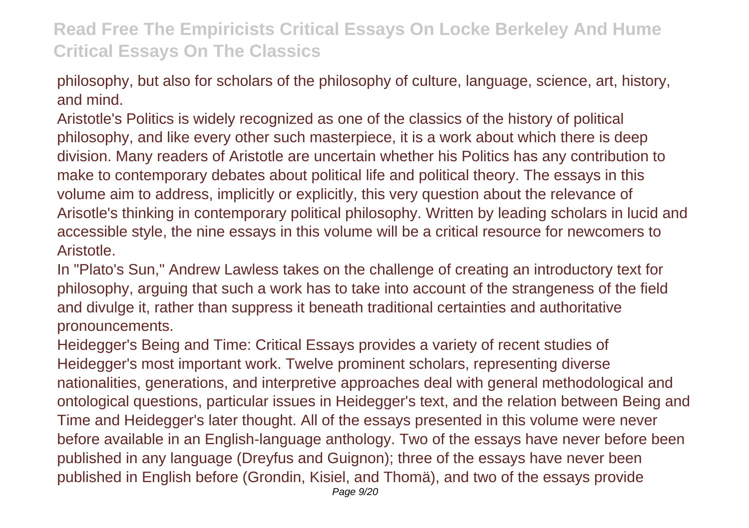philosophy, but also for scholars of the philosophy of culture, language, science, art, history, and mind.

Aristotle's Politics is widely recognized as one of the classics of the history of political philosophy, and like every other such masterpiece, it is a work about which there is deep division. Many readers of Aristotle are uncertain whether his Politics has any contribution to make to contemporary debates about political life and political theory. The essays in this volume aim to address, implicitly or explicitly, this very question about the relevance of Arisotle's thinking in contemporary political philosophy. Written by leading scholars in lucid and accessible style, the nine essays in this volume will be a critical resource for newcomers to Aristotle.

In "Plato's Sun," Andrew Lawless takes on the challenge of creating an introductory text for philosophy, arguing that such a work has to take into account of the strangeness of the field and divulge it, rather than suppress it beneath traditional certainties and authoritative pronouncements.

Heidegger's Being and Time: Critical Essays provides a variety of recent studies of Heidegger's most important work. Twelve prominent scholars, representing diverse nationalities, generations, and interpretive approaches deal with general methodological and ontological questions, particular issues in Heidegger's text, and the relation between Being and Time and Heidegger's later thought. All of the essays presented in this volume were never before available in an English-language anthology. Two of the essays have never before been published in any language (Dreyfus and Guignon); three of the essays have never been published in English before (Grondin, Kisiel, and Thomä), and two of the essays provide Page 9/20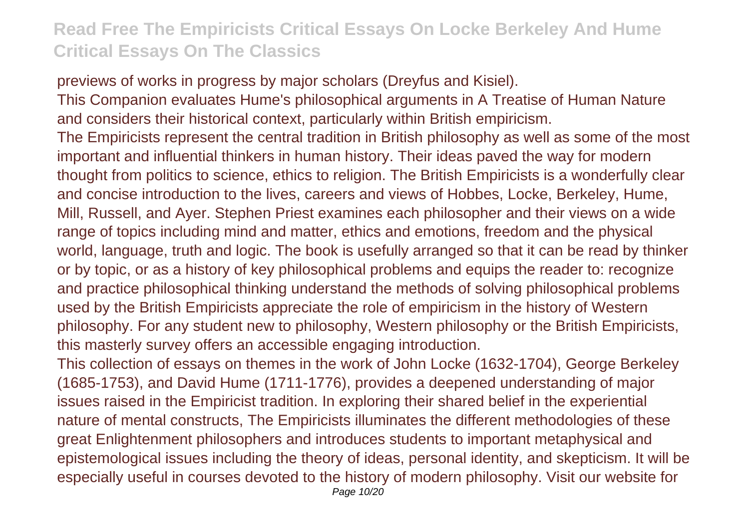previews of works in progress by major scholars (Dreyfus and Kisiel).

This Companion evaluates Hume's philosophical arguments in A Treatise of Human Nature and considers their historical context, particularly within British empiricism.

The Empiricists represent the central tradition in British philosophy as well as some of the most important and influential thinkers in human history. Their ideas paved the way for modern thought from politics to science, ethics to religion. The British Empiricists is a wonderfully clear and concise introduction to the lives, careers and views of Hobbes, Locke, Berkeley, Hume, Mill, Russell, and Ayer. Stephen Priest examines each philosopher and their views on a wide range of topics including mind and matter, ethics and emotions, freedom and the physical world, language, truth and logic. The book is usefully arranged so that it can be read by thinker or by topic, or as a history of key philosophical problems and equips the reader to: recognize and practice philosophical thinking understand the methods of solving philosophical problems used by the British Empiricists appreciate the role of empiricism in the history of Western philosophy. For any student new to philosophy, Western philosophy or the British Empiricists, this masterly survey offers an accessible engaging introduction.

This collection of essays on themes in the work of John Locke (1632-1704), George Berkeley (1685-1753), and David Hume (1711-1776), provides a deepened understanding of major issues raised in the Empiricist tradition. In exploring their shared belief in the experiential nature of mental constructs, The Empiricists illuminates the different methodologies of these great Enlightenment philosophers and introduces students to important metaphysical and epistemological issues including the theory of ideas, personal identity, and skepticism. It will be especially useful in courses devoted to the history of modern philosophy. Visit our website for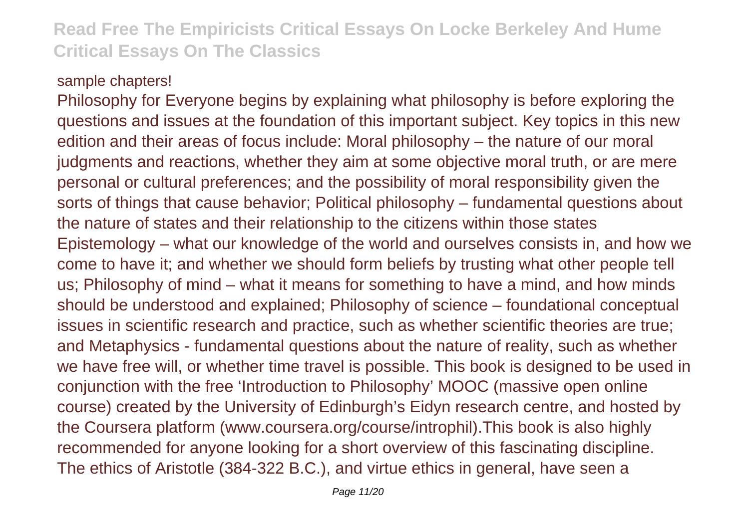#### sample chapters!

Philosophy for Everyone begins by explaining what philosophy is before exploring the questions and issues at the foundation of this important subject. Key topics in this new edition and their areas of focus include: Moral philosophy – the nature of our moral judgments and reactions, whether they aim at some objective moral truth, or are mere personal or cultural preferences; and the possibility of moral responsibility given the sorts of things that cause behavior; Political philosophy – fundamental questions about the nature of states and their relationship to the citizens within those states Epistemology – what our knowledge of the world and ourselves consists in, and how we come to have it; and whether we should form beliefs by trusting what other people tell us; Philosophy of mind – what it means for something to have a mind, and how minds should be understood and explained; Philosophy of science – foundational conceptual issues in scientific research and practice, such as whether scientific theories are true; and Metaphysics - fundamental questions about the nature of reality, such as whether we have free will, or whether time travel is possible. This book is designed to be used in conjunction with the free 'Introduction to Philosophy' MOOC (massive open online course) created by the University of Edinburgh's Eidyn research centre, and hosted by the Coursera platform (www.coursera.org/course/introphil).This book is also highly recommended for anyone looking for a short overview of this fascinating discipline. The ethics of Aristotle (384-322 B.C.), and virtue ethics in general, have seen a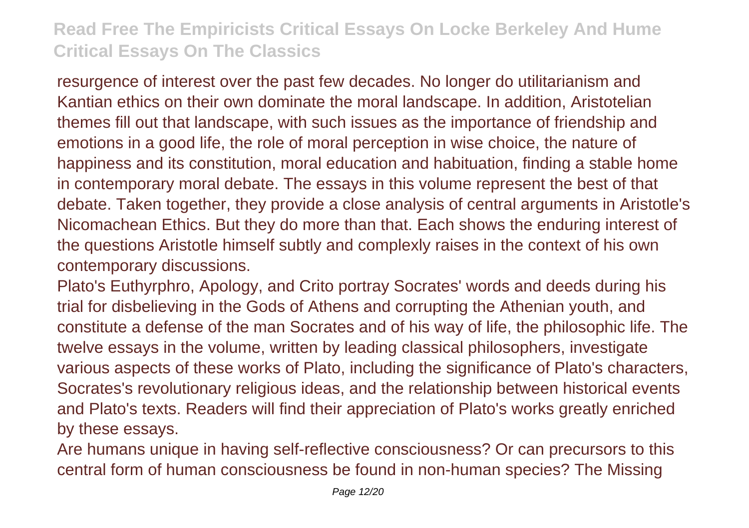resurgence of interest over the past few decades. No longer do utilitarianism and Kantian ethics on their own dominate the moral landscape. In addition, Aristotelian themes fill out that landscape, with such issues as the importance of friendship and emotions in a good life, the role of moral perception in wise choice, the nature of happiness and its constitution, moral education and habituation, finding a stable home in contemporary moral debate. The essays in this volume represent the best of that debate. Taken together, they provide a close analysis of central arguments in Aristotle's Nicomachean Ethics. But they do more than that. Each shows the enduring interest of the questions Aristotle himself subtly and complexly raises in the context of his own contemporary discussions.

Plato's Euthyrphro, Apology, and Crito portray Socrates' words and deeds during his trial for disbelieving in the Gods of Athens and corrupting the Athenian youth, and constitute a defense of the man Socrates and of his way of life, the philosophic life. The twelve essays in the volume, written by leading classical philosophers, investigate various aspects of these works of Plato, including the significance of Plato's characters, Socrates's revolutionary religious ideas, and the relationship between historical events and Plato's texts. Readers will find their appreciation of Plato's works greatly enriched by these essays.

Are humans unique in having self-reflective consciousness? Or can precursors to this central form of human consciousness be found in non-human species? The Missing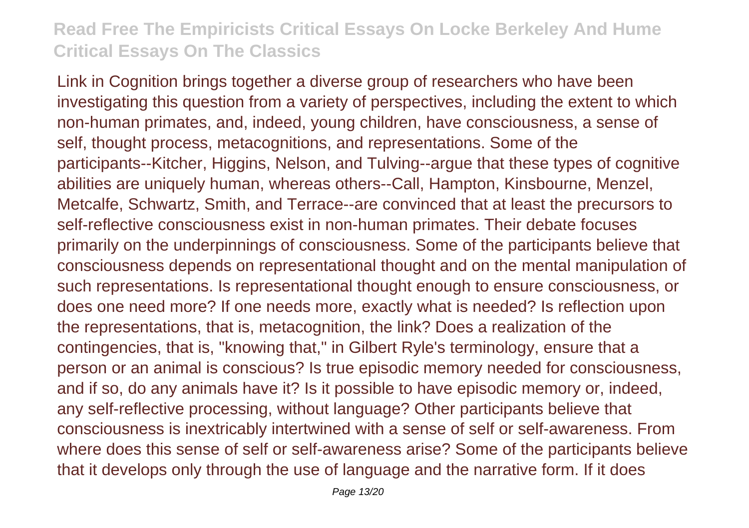Link in Cognition brings together a diverse group of researchers who have been investigating this question from a variety of perspectives, including the extent to which non-human primates, and, indeed, young children, have consciousness, a sense of self, thought process, metacognitions, and representations. Some of the participants--Kitcher, Higgins, Nelson, and Tulving--argue that these types of cognitive abilities are uniquely human, whereas others--Call, Hampton, Kinsbourne, Menzel, Metcalfe, Schwartz, Smith, and Terrace--are convinced that at least the precursors to self-reflective consciousness exist in non-human primates. Their debate focuses primarily on the underpinnings of consciousness. Some of the participants believe that consciousness depends on representational thought and on the mental manipulation of such representations. Is representational thought enough to ensure consciousness, or does one need more? If one needs more, exactly what is needed? Is reflection upon the representations, that is, metacognition, the link? Does a realization of the contingencies, that is, "knowing that," in Gilbert Ryle's terminology, ensure that a person or an animal is conscious? Is true episodic memory needed for consciousness, and if so, do any animals have it? Is it possible to have episodic memory or, indeed, any self-reflective processing, without language? Other participants believe that consciousness is inextricably intertwined with a sense of self or self-awareness. From where does this sense of self or self-awareness arise? Some of the participants believe that it develops only through the use of language and the narrative form. If it does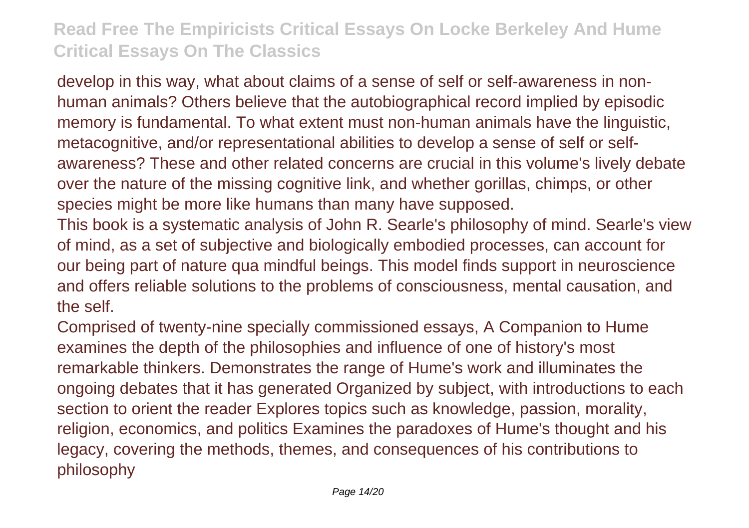develop in this way, what about claims of a sense of self or self-awareness in nonhuman animals? Others believe that the autobiographical record implied by episodic memory is fundamental. To what extent must non-human animals have the linguistic, metacognitive, and/or representational abilities to develop a sense of self or selfawareness? These and other related concerns are crucial in this volume's lively debate over the nature of the missing cognitive link, and whether gorillas, chimps, or other species might be more like humans than many have supposed.

This book is a systematic analysis of John R. Searle's philosophy of mind. Searle's view of mind, as a set of subjective and biologically embodied processes, can account for our being part of nature qua mindful beings. This model finds support in neuroscience and offers reliable solutions to the problems of consciousness, mental causation, and the self.

Comprised of twenty-nine specially commissioned essays, A Companion to Hume examines the depth of the philosophies and influence of one of history's most remarkable thinkers. Demonstrates the range of Hume's work and illuminates the ongoing debates that it has generated Organized by subject, with introductions to each section to orient the reader Explores topics such as knowledge, passion, morality, religion, economics, and politics Examines the paradoxes of Hume's thought and his legacy, covering the methods, themes, and consequences of his contributions to philosophy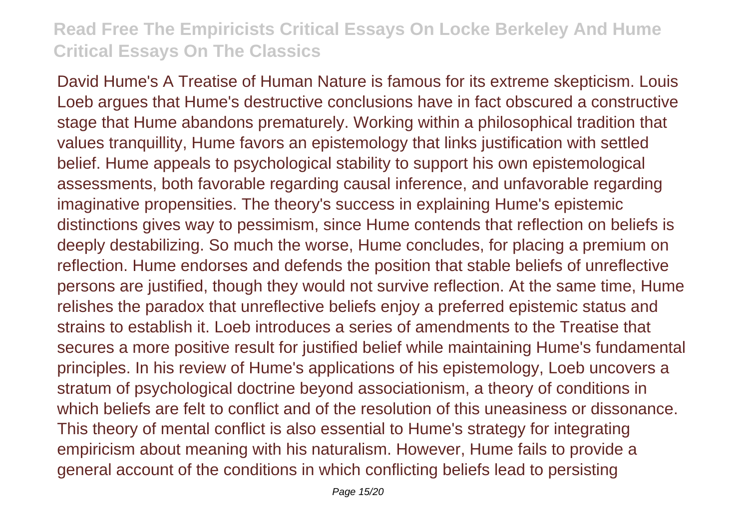David Hume's A Treatise of Human Nature is famous for its extreme skepticism. Louis Loeb argues that Hume's destructive conclusions have in fact obscured a constructive stage that Hume abandons prematurely. Working within a philosophical tradition that values tranquillity, Hume favors an epistemology that links justification with settled belief. Hume appeals to psychological stability to support his own epistemological assessments, both favorable regarding causal inference, and unfavorable regarding imaginative propensities. The theory's success in explaining Hume's epistemic distinctions gives way to pessimism, since Hume contends that reflection on beliefs is deeply destabilizing. So much the worse, Hume concludes, for placing a premium on reflection. Hume endorses and defends the position that stable beliefs of unreflective persons are justified, though they would not survive reflection. At the same time, Hume relishes the paradox that unreflective beliefs enjoy a preferred epistemic status and strains to establish it. Loeb introduces a series of amendments to the Treatise that secures a more positive result for justified belief while maintaining Hume's fundamental principles. In his review of Hume's applications of his epistemology, Loeb uncovers a stratum of psychological doctrine beyond associationism, a theory of conditions in which beliefs are felt to conflict and of the resolution of this uneasiness or dissonance. This theory of mental conflict is also essential to Hume's strategy for integrating empiricism about meaning with his naturalism. However, Hume fails to provide a general account of the conditions in which conflicting beliefs lead to persisting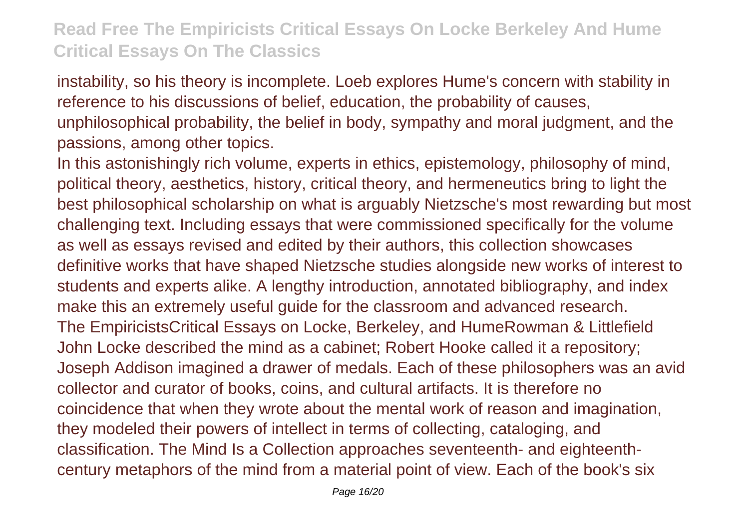instability, so his theory is incomplete. Loeb explores Hume's concern with stability in reference to his discussions of belief, education, the probability of causes, unphilosophical probability, the belief in body, sympathy and moral judgment, and the passions, among other topics.

In this astonishingly rich volume, experts in ethics, epistemology, philosophy of mind, political theory, aesthetics, history, critical theory, and hermeneutics bring to light the best philosophical scholarship on what is arguably Nietzsche's most rewarding but most challenging text. Including essays that were commissioned specifically for the volume as well as essays revised and edited by their authors, this collection showcases definitive works that have shaped Nietzsche studies alongside new works of interest to students and experts alike. A lengthy introduction, annotated bibliography, and index make this an extremely useful guide for the classroom and advanced research. The EmpiricistsCritical Essays on Locke, Berkeley, and HumeRowman & Littlefield John Locke described the mind as a cabinet; Robert Hooke called it a repository; Joseph Addison imagined a drawer of medals. Each of these philosophers was an avid collector and curator of books, coins, and cultural artifacts. It is therefore no coincidence that when they wrote about the mental work of reason and imagination, they modeled their powers of intellect in terms of collecting, cataloging, and classification. The Mind Is a Collection approaches seventeenth- and eighteenthcentury metaphors of the mind from a material point of view. Each of the book's six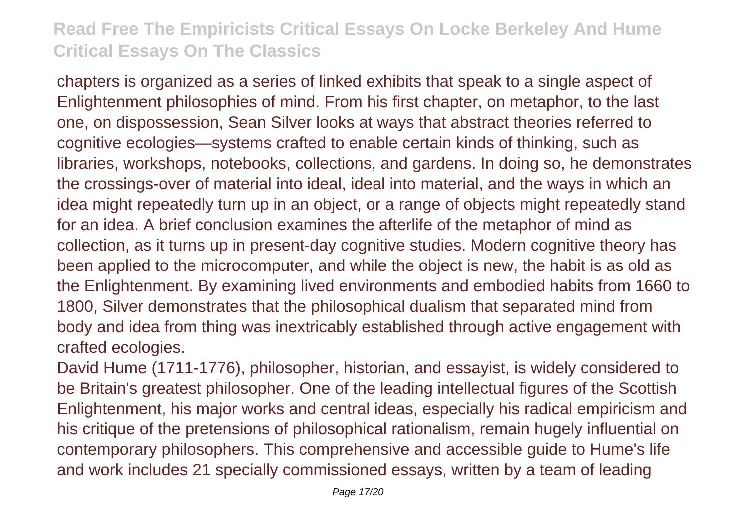chapters is organized as a series of linked exhibits that speak to a single aspect of Enlightenment philosophies of mind. From his first chapter, on metaphor, to the last one, on dispossession, Sean Silver looks at ways that abstract theories referred to cognitive ecologies—systems crafted to enable certain kinds of thinking, such as libraries, workshops, notebooks, collections, and gardens. In doing so, he demonstrates the crossings-over of material into ideal, ideal into material, and the ways in which an idea might repeatedly turn up in an object, or a range of objects might repeatedly stand for an idea. A brief conclusion examines the afterlife of the metaphor of mind as collection, as it turns up in present-day cognitive studies. Modern cognitive theory has been applied to the microcomputer, and while the object is new, the habit is as old as the Enlightenment. By examining lived environments and embodied habits from 1660 to 1800, Silver demonstrates that the philosophical dualism that separated mind from body and idea from thing was inextricably established through active engagement with crafted ecologies.

David Hume (1711-1776), philosopher, historian, and essayist, is widely considered to be Britain's greatest philosopher. One of the leading intellectual figures of the Scottish Enlightenment, his major works and central ideas, especially his radical empiricism and his critique of the pretensions of philosophical rationalism, remain hugely influential on contemporary philosophers. This comprehensive and accessible guide to Hume's life and work includes 21 specially commissioned essays, written by a team of leading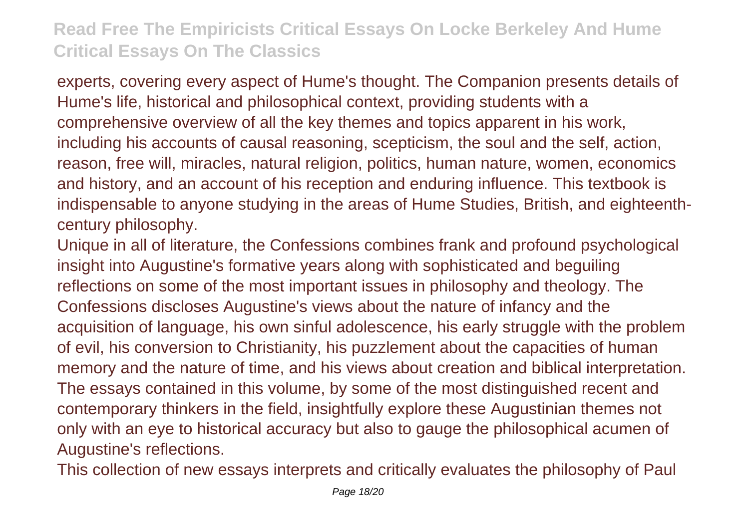experts, covering every aspect of Hume's thought. The Companion presents details of Hume's life, historical and philosophical context, providing students with a comprehensive overview of all the key themes and topics apparent in his work, including his accounts of causal reasoning, scepticism, the soul and the self, action, reason, free will, miracles, natural religion, politics, human nature, women, economics and history, and an account of his reception and enduring influence. This textbook is indispensable to anyone studying in the areas of Hume Studies, British, and eighteenthcentury philosophy.

Unique in all of literature, the Confessions combines frank and profound psychological insight into Augustine's formative years along with sophisticated and beguiling reflections on some of the most important issues in philosophy and theology. The Confessions discloses Augustine's views about the nature of infancy and the acquisition of language, his own sinful adolescence, his early struggle with the problem of evil, his conversion to Christianity, his puzzlement about the capacities of human memory and the nature of time, and his views about creation and biblical interpretation. The essays contained in this volume, by some of the most distinguished recent and contemporary thinkers in the field, insightfully explore these Augustinian themes not only with an eye to historical accuracy but also to gauge the philosophical acumen of Augustine's reflections.

This collection of new essays interprets and critically evaluates the philosophy of Paul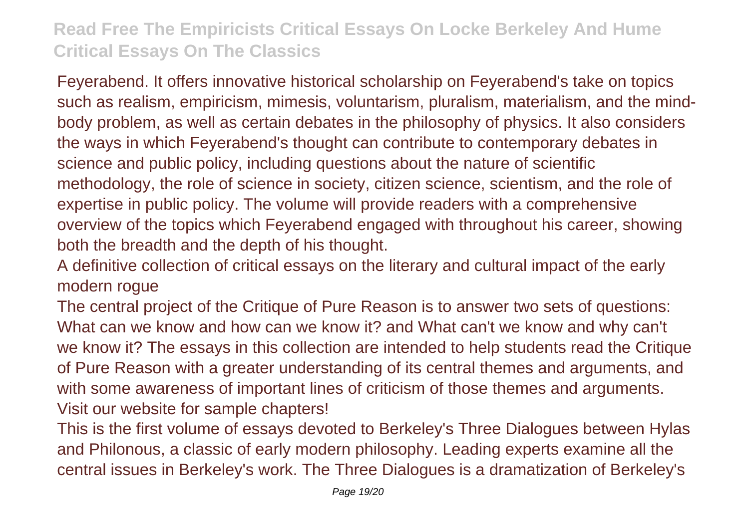Feyerabend. It offers innovative historical scholarship on Feyerabend's take on topics such as realism, empiricism, mimesis, voluntarism, pluralism, materialism, and the mindbody problem, as well as certain debates in the philosophy of physics. It also considers the ways in which Feyerabend's thought can contribute to contemporary debates in science and public policy, including questions about the nature of scientific methodology, the role of science in society, citizen science, scientism, and the role of expertise in public policy. The volume will provide readers with a comprehensive overview of the topics which Feyerabend engaged with throughout his career, showing both the breadth and the depth of his thought.

A definitive collection of critical essays on the literary and cultural impact of the early modern rogue

The central project of the Critique of Pure Reason is to answer two sets of questions: What can we know and how can we know it? and What can't we know and why can't we know it? The essays in this collection are intended to help students read the Critique of Pure Reason with a greater understanding of its central themes and arguments, and with some awareness of important lines of criticism of those themes and arguments. Visit our website for sample chapters!

This is the first volume of essays devoted to Berkeley's Three Dialogues between Hylas and Philonous, a classic of early modern philosophy. Leading experts examine all the central issues in Berkeley's work. The Three Dialogues is a dramatization of Berkeley's